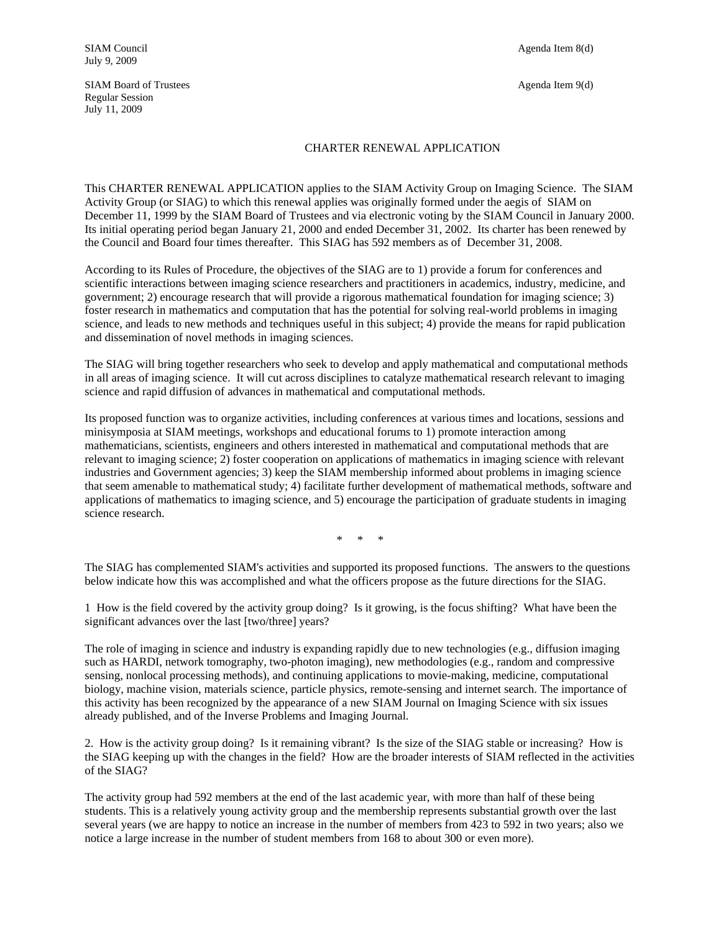## CHARTER RENEWAL APPLICATION

This CHARTER RENEWAL APPLICATION applies to the SIAM Activity Group on Imaging Science. The SIAM Activity Group (or SIAG) to which this renewal applies was originally formed under the aegis of SIAM on December 11, 1999 by the SIAM Board of Trustees and via electronic voting by the SIAM Council in January 2000. Its initial operating period began January 21, 2000 and ended December 31, 2002. Its charter has been renewed by the Council and Board four times thereafter. This SIAG has 592 members as of December 31, 2008.

According to its Rules of Procedure, the objectives of the SIAG are to 1) provide a forum for conferences and scientific interactions between imaging science researchers and practitioners in academics, industry, medicine, and government; 2) encourage research that will provide a rigorous mathematical foundation for imaging science; 3) foster research in mathematics and computation that has the potential for solving real-world problems in imaging science, and leads to new methods and techniques useful in this subject; 4) provide the means for rapid publication and dissemination of novel methods in imaging sciences.

The SIAG will bring together researchers who seek to develop and apply mathematical and computational methods in all areas of imaging science. It will cut across disciplines to catalyze mathematical research relevant to imaging science and rapid diffusion of advances in mathematical and computational methods.

Its proposed function was to organize activities, including conferences at various times and locations, sessions and minisymposia at SIAM meetings, workshops and educational forums to 1) promote interaction among mathematicians, scientists, engineers and others interested in mathematical and computational methods that are relevant to imaging science; 2) foster cooperation on applications of mathematics in imaging science with relevant industries and Government agencies; 3) keep the SIAM membership informed about problems in imaging science that seem amenable to mathematical study; 4) facilitate further development of mathematical methods, software and applications of mathematics to imaging science, and 5) encourage the participation of graduate students in imaging science research.

\* \* \*

The SIAG has complemented SIAM's activities and supported its proposed functions. The answers to the questions below indicate how this was accomplished and what the officers propose as the future directions for the SIAG.

1 How is the field covered by the activity group doing? Is it growing, is the focus shifting? What have been the significant advances over the last [two/three] years?

The role of imaging in science and industry is expanding rapidly due to new technologies (e.g., diffusion imaging such as HARDI, network tomography, two-photon imaging), new methodologies (e.g., random and compressive sensing, nonlocal processing methods), and continuing applications to movie-making, medicine, computational biology, machine vision, materials science, particle physics, remote-sensing and internet search. The importance of this activity has been recognized by the appearance of a new SIAM Journal on Imaging Science with six issues already published, and of the Inverse Problems and Imaging Journal.

2. How is the activity group doing? Is it remaining vibrant? Is the size of the SIAG stable or increasing? How is the SIAG keeping up with the changes in the field? How are the broader interests of SIAM reflected in the activities of the SIAG?

The activity group had 592 members at the end of the last academic year, with more than half of these being students. This is a relatively young activity group and the membership represents substantial growth over the last several years (we are happy to notice an increase in the number of members from 423 to 592 in two years; also we notice a large increase in the number of student members from 168 to about 300 or even more).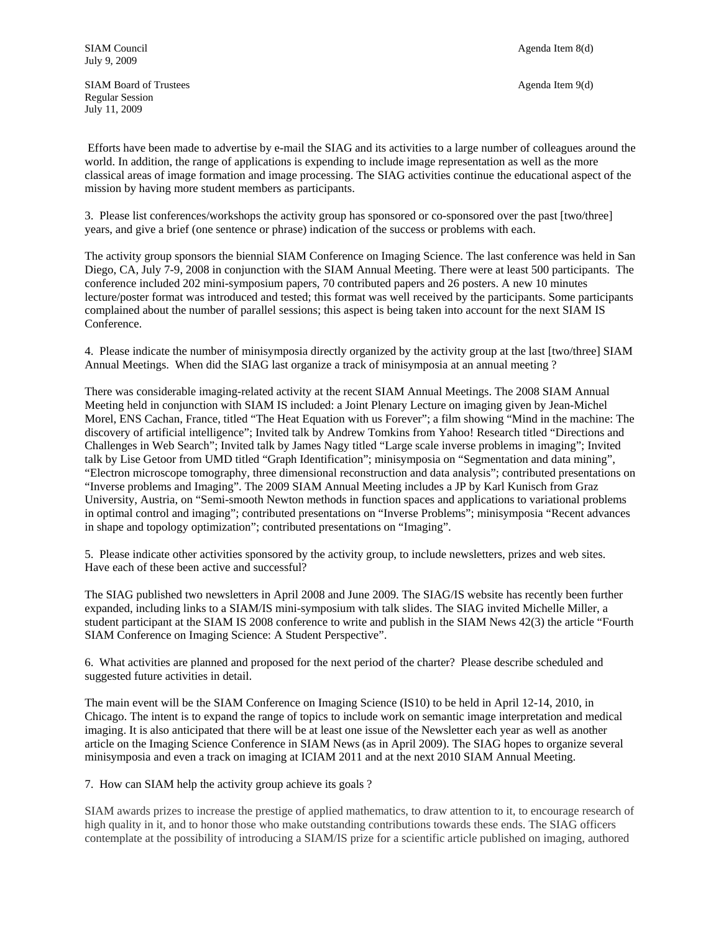SIAM Board of Trustees Agenda Item 9(d) Regular Session July 11, 2009

 Efforts have been made to advertise by e-mail the SIAG and its activities to a large number of colleagues around the world. In addition, the range of applications is expending to include image representation as well as the more classical areas of image formation and image processing. The SIAG activities continue the educational aspect of the mission by having more student members as participants.

3. Please list conferences/workshops the activity group has sponsored or co-sponsored over the past [two/three] years, and give a brief (one sentence or phrase) indication of the success or problems with each.

The activity group sponsors the biennial SIAM Conference on Imaging Science. The last conference was held in San Diego, CA, July 7-9, 2008 in conjunction with the SIAM Annual Meeting. There were at least 500 participants. The conference included 202 mini-symposium papers, 70 contributed papers and 26 posters. A new 10 minutes lecture/poster format was introduced and tested; this format was well received by the participants. Some participants complained about the number of parallel sessions; this aspect is being taken into account for the next SIAM IS Conference.

4. Please indicate the number of minisymposia directly organized by the activity group at the last [two/three] SIAM Annual Meetings. When did the SIAG last organize a track of minisymposia at an annual meeting ?

There was considerable imaging-related activity at the recent SIAM Annual Meetings. The 2008 SIAM Annual Meeting held in conjunction with SIAM IS included: a Joint Plenary Lecture on imaging given by Jean-Michel Morel, ENS Cachan, France, titled "The Heat Equation with us Forever"; a film showing "Mind in the machine: The discovery of artificial intelligence"; Invited talk by Andrew Tomkins from Yahoo! Research titled "Directions and Challenges in Web Search"; Invited talk by James Nagy titled "Large scale inverse problems in imaging"; Invited talk by Lise Getoor from UMD titled "Graph Identification"; minisymposia on "Segmentation and data mining", "Electron microscope tomography, three dimensional reconstruction and data analysis"; contributed presentations on "Inverse problems and Imaging". The 2009 SIAM Annual Meeting includes a JP by Karl Kunisch from Graz University, Austria, on "Semi-smooth Newton methods in function spaces and applications to variational problems in optimal control and imaging"; contributed presentations on "Inverse Problems"; minisymposia "Recent advances in shape and topology optimization"; contributed presentations on "Imaging".

5. Please indicate other activities sponsored by the activity group, to include newsletters, prizes and web sites. Have each of these been active and successful?

The SIAG published two newsletters in April 2008 and June 2009. The SIAG/IS website has recently been further expanded, including links to a SIAM/IS mini-symposium with talk slides. The SIAG invited Michelle Miller, a student participant at the SIAM IS 2008 conference to write and publish in the SIAM News 42(3) the article "Fourth SIAM Conference on Imaging Science: A Student Perspective".

6. What activities are planned and proposed for the next period of the charter? Please describe scheduled and suggested future activities in detail.

The main event will be the SIAM Conference on Imaging Science (IS10) to be held in April 12-14, 2010, in Chicago. The intent is to expand the range of topics to include work on semantic image interpretation and medical imaging. It is also anticipated that there will be at least one issue of the Newsletter each year as well as another article on the Imaging Science Conference in SIAM News (as in April 2009). The SIAG hopes to organize several minisymposia and even a track on imaging at ICIAM 2011 and at the next 2010 SIAM Annual Meeting.

7. How can SIAM help the activity group achieve its goals ?

SIAM awards prizes to increase the prestige of applied mathematics, to draw attention to it, to encourage research of high quality in it, and to honor those who make outstanding contributions towards these ends. The SIAG officers contemplate at the possibility of introducing a SIAM/IS prize for a scientific article published on imaging, authored